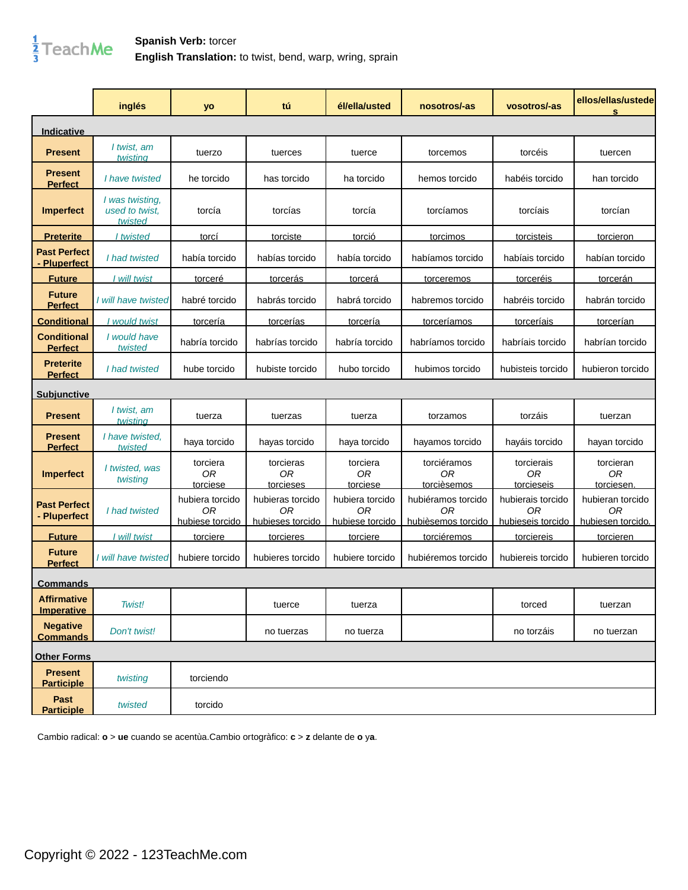

|                                         | inglés                                       | yo                                       | tú                                         | él/ella/usted                            | nosotros/-as                                   | vosotros/-as                                 | ellos/ellas/ustede<br>s                     |
|-----------------------------------------|----------------------------------------------|------------------------------------------|--------------------------------------------|------------------------------------------|------------------------------------------------|----------------------------------------------|---------------------------------------------|
| <u>Indicative</u>                       |                                              |                                          |                                            |                                          |                                                |                                              |                                             |
| <b>Present</b>                          | I twist, am<br>twisting                      | tuerzo                                   | tuerces                                    | tuerce                                   | torcemos                                       | torcéis                                      | tuercen                                     |
| <b>Present</b><br><b>Perfect</b>        | I have twisted                               | he torcido                               | has torcido                                | ha torcido                               | hemos torcido                                  | habéis torcido                               | han torcido                                 |
| <b>Imperfect</b>                        | I was twisting,<br>used to twist.<br>twisted | torcía                                   | torcías                                    | torcía                                   | torcíamos                                      | torcíais                                     | torcían                                     |
| Preterite                               | I twisted                                    | <u>torcí</u>                             | <b>torciste</b>                            | <u>torció</u>                            | <u>torcimos</u>                                | torcisteis                                   | torcieron                                   |
| <b>Past Perfect</b><br>Pluperfect       | I had twisted                                | había torcido                            | habías torcido                             | había torcido                            | habíamos torcido                               | habíais torcido                              | habían torcido                              |
| <b>Future</b>                           | I will twist                                 | torceré                                  | <b>torcerás</b>                            | <u>torcerá</u>                           | <b>torceremos</b>                              | torceréis                                    | <u>torcerán</u>                             |
| <b>Future</b><br><b>Perfect</b>         | I will have twisted                          | habré torcido                            | habrás torcido                             | habrá torcido                            | habremos torcido                               | habréis torcido                              | habrán torcido                              |
| <b>Conditional</b>                      | would twist                                  | torcería                                 | torcerías                                  | torcería                                 | torceríamos                                    | torceríais                                   | torcerían                                   |
| <b>Conditional</b><br><b>Perfect</b>    | I would have<br>twisted                      | habría torcido                           | habrías torcido                            | habría torcido                           | habríamos torcido                              | habríais torcido                             | habrían torcido                             |
| <b>Preterite</b><br><b>Perfect</b>      | I had twisted                                | hube torcido                             | hubiste torcido                            | hubo torcido                             | hubimos torcido                                | hubisteis torcido                            | hubieron torcido                            |
| <u>Subiunctive</u>                      |                                              |                                          |                                            |                                          |                                                |                                              |                                             |
| <b>Present</b>                          | I twist, am<br>twistina                      | tuerza                                   | tuerzas                                    | tuerza                                   | torzamos                                       | torzáis                                      | tuerzan                                     |
| <b>Present</b><br><b>Perfect</b>        | I have twisted,<br>twisted                   | haya torcido                             | hayas torcido                              | haya torcido                             | hayamos torcido                                | hayáis torcido                               | hayan torcido                               |
| <b>Imperfect</b>                        | I twisted, was<br>twisting                   | torciera<br>0R<br>torciese               | torcieras<br>0 <sub>R</sub><br>torcieses   | torciera<br>0 <sub>R</sub><br>torciese   | torciéramos<br><b>OR</b><br>torcièsemos        | torcierais<br><b>OR</b><br>torcieseis        | torcieran<br><b>OR</b><br>torciesen.        |
| <b>Past Perfect</b><br>- Pluperfect     | I had twisted                                | hubiera torcido<br>0R<br>hubiese torcido | hubieras torcido<br>ΟR<br>hubieses torcido | hubiera torcido<br>ΟR<br>hubiese torcido | hubiéramos torcido<br>0R<br>hubièsemos torcido | hubierais torcido<br>0R<br>hubieseis torcido | hubieran torcido<br>0R<br>hubiesen torcido. |
| <b>Future</b>                           | I will twist                                 | <u>torciere</u>                          | torcieres                                  | <b>torciere</b>                          | torciéremos                                    | <b>torciereis</b>                            | <u>torcieren</u>                            |
| <b>Future</b><br><b>Perfect</b>         | I will have twisted                          | hubiere torcido                          | hubieres torcido                           | hubiere torcido                          | hubiéremos torcido                             | hubiereis torcido                            | hubieren torcido                            |
| <b>Commands</b>                         |                                              |                                          |                                            |                                          |                                                |                                              |                                             |
| <b>Affirmative</b><br><b>Imperative</b> | Twist!                                       |                                          | tuerce                                     | tuerza                                   |                                                | torced                                       | tuerzan                                     |
| <b>Negative</b><br><b>Commands</b>      | Don't twist!                                 |                                          | no tuerzas                                 | no tuerza                                |                                                | no torzáis                                   | no tuerzan                                  |
| <b>Other Forms</b>                      |                                              |                                          |                                            |                                          |                                                |                                              |                                             |
| <b>Present</b><br><b>Participle</b>     | twisting                                     | torciendo                                |                                            |                                          |                                                |                                              |                                             |
| Past<br><b>Participle</b>               | twisted                                      | torcido                                  |                                            |                                          |                                                |                                              |                                             |

Cambio radical: **o** > **ue** cuando se acentùa.Cambio ortogràfico: **c** > **z** delante de **o** y**a**.